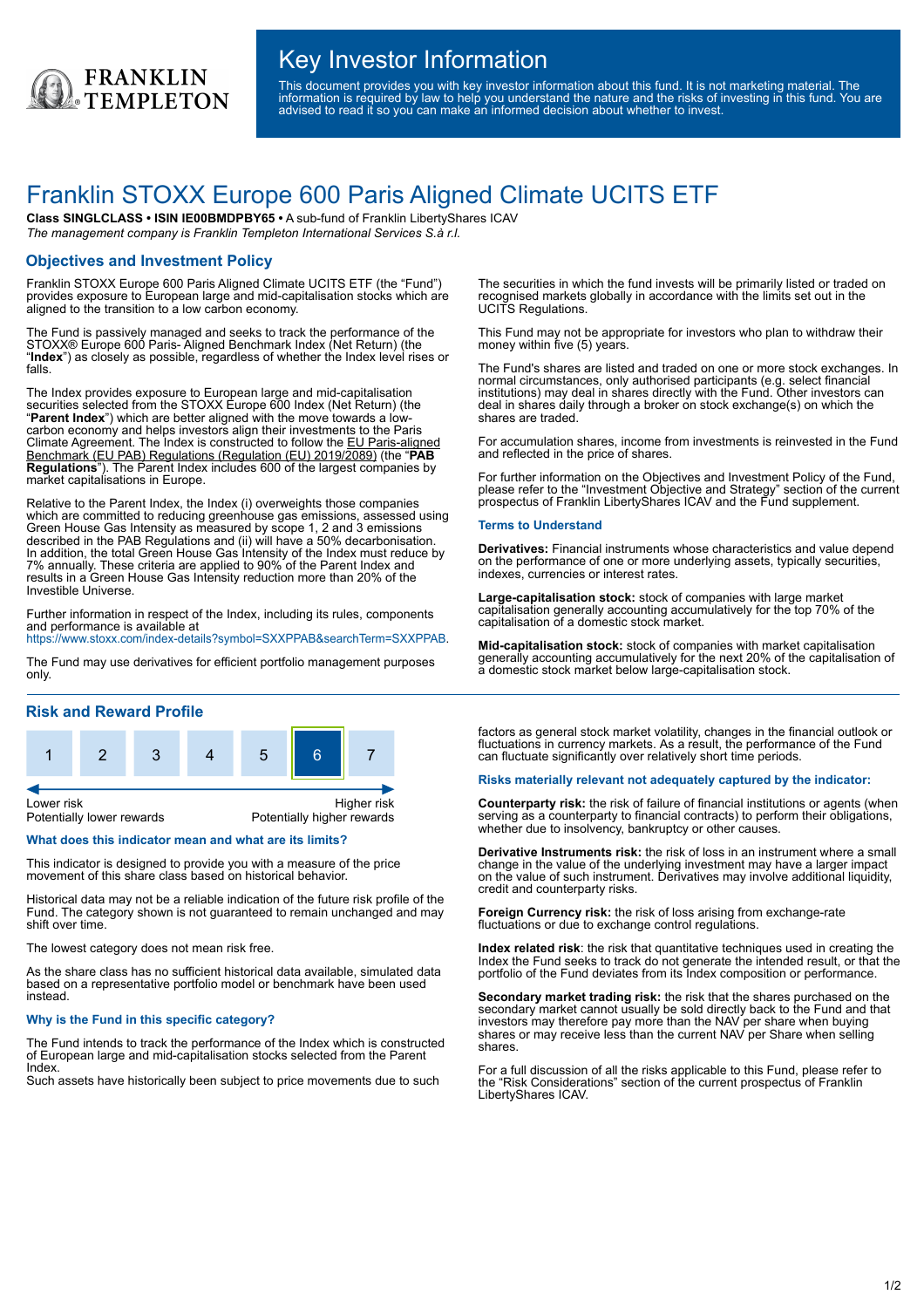

## Key Investor Information

This document provides you with key investor information about this fund. It is not marketing material. The information is required by law to help you understand the nature and the risks of investing in this fund. You are advised to read it so you can make an informed decision about whether to invest.

# Franklin STOXX Europe 600 Paris Aligned Climate UCITS ETF

**Class SINGLCLASS • ISIN IE00BMDPBY65 •** A sub-fund of Franklin LibertyShares ICAV *The management company is Franklin Templeton International Services S.à r.l.*

## **Objectives and Investment Policy**

Franklin STOXX Europe 600 Paris Aligned Climate UCITS ETF (the "Fund") provides exposure to European large and mid-capitalisation stocks which are aligned to the transition to a low carbon economy.

The Fund is passively managed and seeks to track the performance of the STOXX® Europe 600 Paris- Aligned Benchmark Index (Net Return) (the "**Index**") as closely as possible, regardless of whether the Index level rises or falls.

The Index provides exposure to European large and mid-capitalisation securities selected from the STOXX Europe 600 Index (Net Return) (the "**Parent Index**") which are better aligned with the move towards a lowcarbon economy and helps investors align their investments to the Paris Climate Agreement. The Index is constructed to follow the EU Paris-aligned Benchmark (EU PAB) Regulations (Regulation (EU) 2019/2089) (the "**PAB Regulations**"). The Parent Index includes 600 of the largest companies by market capitalisations in Europe.

Relative to the Parent Index, the Index (i) overweights those companies which are committed to reducing greenhouse gas emissions, assessed using Green House Gas Intensity as measured by scope 1, 2 and 3 emissions described in the PAB Regulations and (ii) will have a 50% decarbonisation. In addition, the total Green House Gas Intensity of the Index must reduce by 7% annually. These criteria are applied to 90% of the Parent Index and results in a Green House Gas Intensity reduction more than 20% of the Investible Universe.

Further information in respect of the Index, including its rules, components and performance is available at

<https://www.stoxx.com/index-details?symbol=SXXPPAB&searchTerm=SXXPPAB>.

The Fund may use derivatives for efficient portfolio management purposes only.

#### **Risk and Reward Profile**



#### **What does this indicator mean and what are its limits?**

This indicator is designed to provide you with a measure of the price movement of this share class based on historical behavior.

Historical data may not be a reliable indication of the future risk profile of the Fund. The category shown is not guaranteed to remain unchanged and may shift over time.

The lowest category does not mean risk free.

As the share class has no sufficient historical data available, simulated data based on a representative portfolio model or benchmark have been used instead.

#### **Why is the Fund in this specific category?**

The Fund intends to track the performance of the Index which is constructed of European large and mid-capitalisation stocks selected from the Parent Index.

Such assets have historically been subject to price movements due to such

The securities in which the fund invests will be primarily listed or traded on recognised markets globally in accordance with the limits set out in the UCITS Regulations.

This Fund may not be appropriate for investors who plan to withdraw their money within five (5) years.

The Fund's shares are listed and traded on one or more stock exchanges. In normal circumstances, only authorised participants (e.g. select financial institutions) may deal in shares directly with the Fund. Other investors can deal in shares daily through a broker on stock exchange(s) on which the shares are traded.

For accumulation shares, income from investments is reinvested in the Fund and reflected in the price of shares.

For further information on the Objectives and Investment Policy of the Fund, please refer to the "Investment Objective and Strategy" section of the current prospectus of Franklin LibertyShares ICAV and the Fund supplement.

#### **Terms to Understand**

**Derivatives:** Financial instruments whose characteristics and value depend on the performance of one or more underlying assets, typically securities, indexes, currencies or interest rates.

**Large-capitalisation stock:** stock of companies with large market capitalisation generally accounting accumulatively for the top 70% of the capitalisation of a domestic stock market.

**Mid-capitalisation stock:** stock of companies with market capitalisation generally accounting accumulatively for the next 20% of the capitalisation of a domestic stock market below large-capitalisation stock.

factors as general stock market volatility, changes in the financial outlook or fluctuations in currency markets. As a result, the performance of the Fund can fluctuate significantly over relatively short time periods.

#### **Risks materially relevant not adequately captured by the indicator:**

**Counterparty risk:** the risk of failure of financial institutions or agents (when serving as a counterparty to financial contracts) to perform their obligations, whether due to insolvency, bankruptcy or other causes.

**Derivative Instruments risk:** the risk of loss in an instrument where a small change in the value of the underlying investment may have a larger impact on the value of such instrument. Derivatives may involve additional liquidity, credit and counterparty risks.

**Foreign Currency risk:** the risk of loss arising from exchange-rate fluctuations or due to exchange control regulations.

**Index related risk**: the risk that quantitative techniques used in creating the Index the Fund seeks to track do not generate the intended result, or that the portfolio of the Fund deviates from its Index composition or performance.

**Secondary market trading risk:** the risk that the shares purchased on the secondary market cannot usually be sold directly back to the Fund and that investors may therefore pay more than the NAV per share when buying shares or may receive less than the current NAV per Share when selling shares.

For a full discussion of all the risks applicable to this Fund, please refer to the "Risk Considerations" section of the current prospectus of Franklin LibertyShares ICAV.